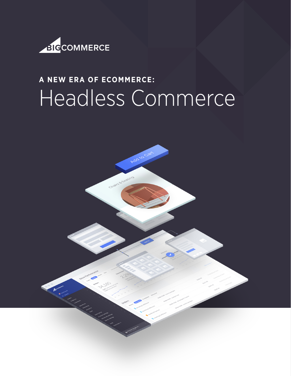

# **A NEW ERA OF ECOMMERCE:** Headless Commerce

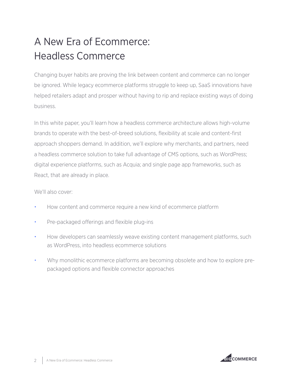# A New Era of Ecommerce: Headless Commerce

Changing buyer habits are proving the link between content and commerce can no longer be ignored. While legacy ecommerce platforms struggle to keep up, SaaS innovations have helped retailers adapt and prosper without having to rip and replace existing ways of doing business.

In this white paper, you'll learn how a headless commerce architecture allows high-volume brands to operate with the best-of-breed solutions, flexibility at scale and content-first approach shoppers demand. In addition, we'll explore why merchants, and partners, need a headless commerce solution to take full advantage of CMS options, such as WordPress; digital experience platforms, such as Acquia; and single page app frameworks, such as React, that are already in place.

We'll also cover:

- How content and commerce require a new kind of ecommerce platform
- Pre-packaged offerings and flexible plug-ins
- How developers can seamlessly weave existing content management platforms, such as WordPress, into headless ecommerce solutions
- Why monolithic ecommerce platforms are becoming obsolete and how to explore prepackaged options and flexible connector approaches

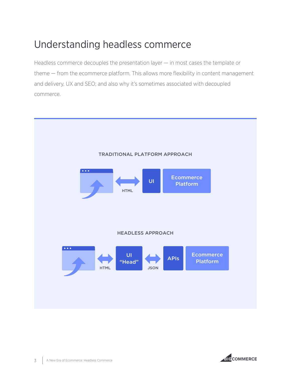## Understanding headless commerce

Headless commerce decouples the presentation layer — in most cases the template or theme — from the ecommerce platform. This allows more flexibility in content management and delivery, UX and SEO; and also why it's sometimes associated with decoupled commerce.



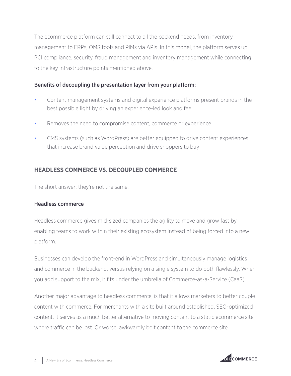The ecommerce platform can still connect to all the backend needs, from inventory management to ERPs, OMS tools and PIMs via APIs. In this model, the platform serves up PCI compliance, security, fraud management and inventory management while connecting to the key infrastructure points mentioned above.

#### Benefits of decoupling the presentation layer from your platform:

- Content management systems and digital experience platforms present brands in the best possible light by driving an experience-led look and feel
- Removes the need to compromise content, commerce or experience
- CMS systems (such as WordPress) are better equipped to drive content experiences that increase brand value perception and drive shoppers to buy

#### **HEADLESS COMMERCE VS. DECOUPLED COMMERCE**

The short answer: they're not the same.

#### Headless commerce

Headless commerce gives mid-sized companies the agility to move and grow fast by enabling teams to work within their existing ecosystem instead of being forced into a new platform.

Businesses can develop the front-end in WordPress and simultaneously manage logistics and commerce in the backend, versus relying on a single system to do both flawlessly. When you add support to the mix, it fits under the umbrella of Commerce-as-a-Service (CaaS).

Another major advantage to headless commerce, is that it allows marketers to better couple content with commerce. For merchants with a site built around established, SEO-optimized content, it serves as a much better alternative to moving content to a static ecommerce site, where traffic can be lost. Or worse, awkwardly bolt content to the commerce site.

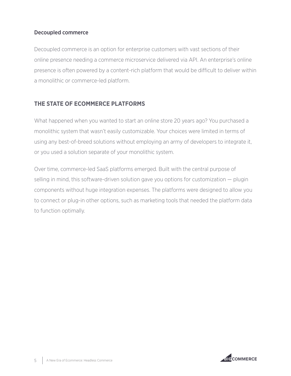#### Decoupled commerce

Decoupled commerce is an option for enterprise customers with vast sections of their online presence needing a commerce microservice delivered via API. An enterprise's online presence is often powered by a content-rich platform that would be difficult to deliver within a monolithic or commerce-led platform.

#### **THE STATE OF ECOMMERCE PLATFORMS**

What happened when you wanted to start an online store 20 years ago? You purchased a monolithic system that wasn't easily customizable. Your choices were limited in terms of using any best-of-breed solutions without employing an army of developers to integrate it, or you used a solution separate of your monolithic system.

Over time, commerce-led SaaS platforms emerged. Built with the central purpose of selling in mind, this software-driven solution gave you options for customization — plugin components without huge integration expenses. The platforms were designed to allow you to connect or plug-in other options, such as marketing tools that needed the platform data to function optimally.

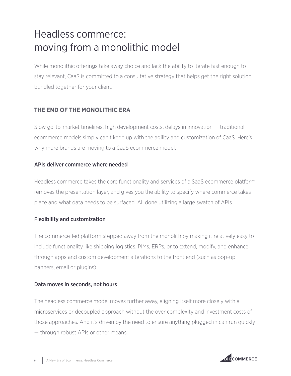# Headless commerce: moving from a monolithic model

While monolithic offerings take away choice and lack the ability to iterate fast enough to stay relevant, CaaS is committed to a consultative strategy that helps get the right solution bundled together for your client.

#### **THE END OF THE MONOLITHIC ERA**

Slow go-to-market timelines, high development costs, delays in innovation — traditional ecommerce models simply can't keep up with the agility and customization of CaaS. Here's why more brands are moving to a CaaS ecommerce model.

#### APIs deliver commerce where needed

Headless commerce takes the core functionality and services of a SaaS ecommerce platform, removes the presentation layer, and gives you the ability to specify where commerce takes place and what data needs to be surfaced. All done utilizing a large swatch of APIs.

#### Flexibility and customization

The commerce-led platform stepped away from the monolith by making it relatively easy to include functionality like shipping logistics, PIMs, ERPs, or to extend, modify, and enhance through apps and custom development alterations to the front end (such as pop-up banners, email or plugins).

#### Data moves in seconds, not hours

The headless commerce model moves further away, aligning itself more closely with a microservices or decoupled approach without the over complexity and investment costs of those approaches. And it's driven by the need to ensure anything plugged in can run quickly — through robust APIs or other means.

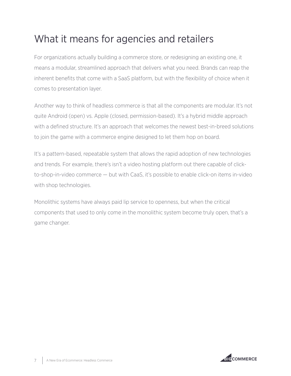## What it means for agencies and retailers

For organizations actually building a commerce store, or redesigning an existing one, it means a modular, streamlined approach that delivers what you need. Brands can reap the inherent benefits that come with a SaaS platform, but with the flexibility of choice when it comes to presentation layer.

Another way to think of headless commerce is that all the components are modular. It's not quite Android (open) vs. Apple (closed, permission-based). It's a hybrid middle approach with a defined structure. It's an approach that welcomes the newest best-in-breed solutions to join the game with a commerce engine designed to let them hop on board.

It's a pattern-based, repeatable system that allows the rapid adoption of new technologies and trends. For example, there's isn't a video hosting platform out there capable of clickto-shop-in-video commerce — but with CaaS, it's possible to enable click-on items in-video with shop technologies.

Monolithic systems have always paid lip service to openness, but when the critical components that used to only come in the monolithic system become truly open, that's a game changer.

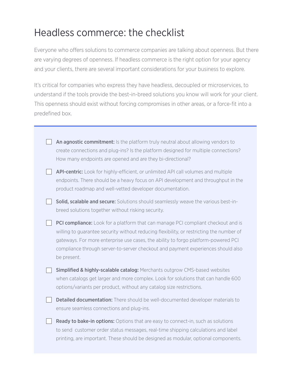### Headless commerce: the checklist

Everyone who offers solutions to commerce companies are talking about openness. But there are varying degrees of openness. If headless commerce is the right option for your agency and your clients, there are several important considerations for your business to explore.

It's critical for companies who express they have headless, decoupled or microservices, to understand if the tools provide the best-in-breed solutions you know will work for your client. This openness should exist without forcing compromises in other areas, or a force-fit into a predefined box.

| An agnostic commitment: Is the platform truly neutral about allowing vendors to<br>create connections and plug-ins? Is the platform designed for multiple connections?<br>How many endpoints are opened and are they bi-directional?                                                                                                                                   |
|------------------------------------------------------------------------------------------------------------------------------------------------------------------------------------------------------------------------------------------------------------------------------------------------------------------------------------------------------------------------|
| API-centric: Look for highly-efficient, or unlimited API call volumes and multiple<br>endpoints. There should be a heavy focus on API development and throughput in the<br>product roadmap and well-vetted developer documentation.                                                                                                                                    |
| Solid, scalable and secure: Solutions should seamlessly weave the various best-in-<br>breed solutions together without risking security.                                                                                                                                                                                                                               |
| PCI compliance: Look for a platform that can manage PCI compliant checkout and is<br>willing to guarantee security without reducing flexibility, or restricting the number of<br>gateways. For more enterprise use cases, the ability to forgo platform-powered PCI<br>compliance through server-to-server checkout and payment experiences should also<br>be present. |
| Simplified & highly-scalable catalog: Merchants outgrow CMS-based websites<br>when catalogs get larger and more complex. Look for solutions that can handle 600<br>options/variants per product, without any catalog size restrictions.                                                                                                                                |
| Detailed documentation: There should be well-documented developer materials to<br>ensure seamless connections and plug-ins.                                                                                                                                                                                                                                            |
| Ready to bake-in options: Options that are easy to connect-in, such as solutions<br>to send customer order status messages, real-time shipping calculations and label<br>printing, are important. These should be designed as modular, optional components.                                                                                                            |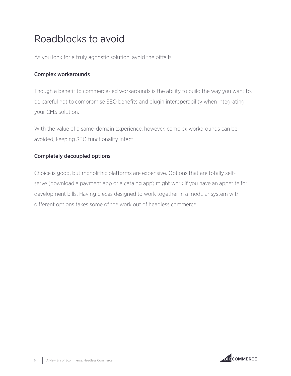## Roadblocks to avoid

As you look for a truly agnostic solution, avoid the pitfalls

#### Complex workarounds

Though a benefit to commerce-led workarounds is the ability to build the way you want to, be careful not to compromise SEO benefits and plugin interoperability when integrating your CMS solution.

With the value of a same-domain experience, however, complex workarounds can be avoided, keeping SEO functionality intact.

#### Completely decoupled options

Choice is good, but monolithic platforms are expensive. Options that are totally selfserve (download a payment app or a catalog app) might work if you have an appetite for development bills. Having pieces designed to work together in a modular system with different options takes some of the work out of headless commerce.